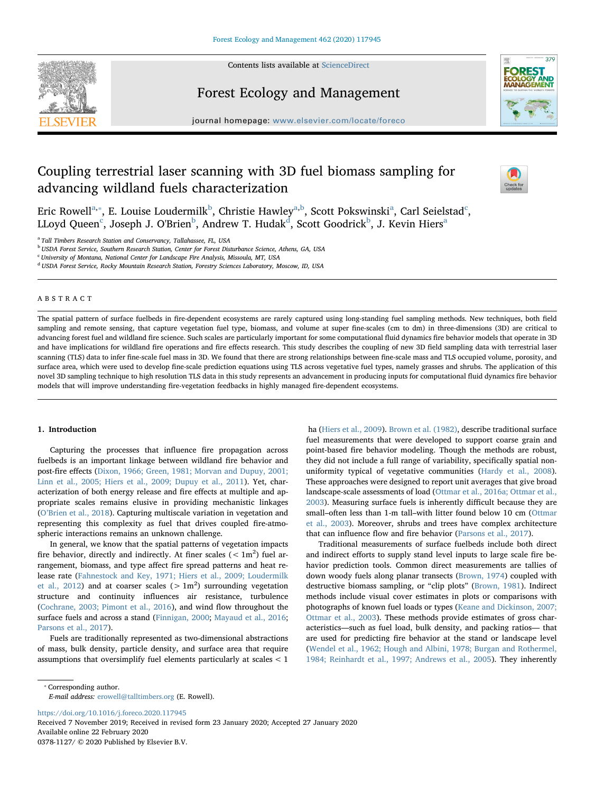

Contents lists available at [ScienceDirect](http://www.sciencedirect.com/science/journal/03781127)

# Forest Ecology and Management



journal homepage: [www.elsevier.com/locate/foreco](https://www.elsevier.com/locate/foreco)

# Coupling terrestrial laser scanning with 3D fuel biomass sampling for advancing wildland fuels characterization



Eri[c](#page-0-3) Rowell $^{\rm a, *},$  $^{\rm a, *},$  $^{\rm a, *},$  E. Louise Loudermilk $^{\rm b}$  $^{\rm b}$  $^{\rm b}$ , Christie H[a](#page-0-0)wley $^{\rm a, b}$ , Scott Pokswinski $^{\rm a}$ , Carl Seielstad $^{\rm c}$ , LLoy[d](#page-0-4) Queen $^{\rm c}$  $^{\rm c}$  $^{\rm c}$ , Joseph J. O'Brien $^{\rm b}$  $^{\rm b}$  $^{\rm b}$ , Andrew T. Hud[a](#page-0-0)k $^{\rm d}$ , Scott Goodrick $^{\rm b}$ , J. Kevin Hiers $^{\rm a}$ 

<span id="page-0-0"></span><sup>a</sup> Tall Timbers Research Station and Conservancy, Tallahassee, FL, USA

<span id="page-0-2"></span><sup>b</sup> USDA Forest Service, Southern Research Station, Center for Forest Disturbance Science, Athens, GA, USA

<span id="page-0-3"></span> $c$  University of Montana, National Center for Landscape Fire Analysis, Missoula, MT, USA

<span id="page-0-4"></span><sup>d</sup> USDA Forest Service, Rocky Mountain Research Station, Forestry Sciences Laboratory, Moscow, ID, USA

# ABSTRACT

The spatial pattern of surface fuelbeds in fire-dependent ecosystems are rarely captured using long-standing fuel sampling methods. New techniques, both field sampling and remote sensing, that capture vegetation fuel type, biomass, and volume at super fine-scales (cm to dm) in three-dimensions (3D) are critical to advancing forest fuel and wildland fire science. Such scales are particularly important for some computational fluid dynamics fire behavior models that operate in 3D and have implications for wildland fire operations and fire effects research. This study describes the coupling of new 3D field sampling data with terrestrial laser scanning (TLS) data to infer fine-scale fuel mass in 3D. We found that there are strong relationships between fine-scale mass and TLS occupied volume, porosity, and surface area, which were used to develop fine-scale prediction equations using TLS across vegetative fuel types, namely grasses and shrubs. The application of this novel 3D sampling technique to high resolution TLS data in this study represents an advancement in producing inputs for computational fluid dynamics fire behavior models that will improve understanding fire-vegetation feedbacks in highly managed fire-dependent ecosystems.

# 1. Introduction

Capturing the processes that influence fire propagation across fuelbeds is an important linkage between wildland fire behavior and post-fire effects ([Dixon, 1966; Green, 1981; Morvan and Dupuy, 2001;](#page-7-0) [Linn et al., 2005; Hiers et al., 2009; Dupuy et al., 2011\)](#page-7-0). Yet, characterization of both energy release and fire effects at multiple and appropriate scales remains elusive in providing mechanistic linkages (O'[Brien et al., 2018\)](#page-8-0). Capturing multiscale variation in vegetation and representing this complexity as fuel that drives coupled fire-atmospheric interactions remains an unknown challenge.

In general, we know that the spatial patterns of vegetation impacts fire behavior, directly and indirectly. At finer scales  $(< 1 m<sup>2</sup>)$  fuel arrangement, biomass, and type affect fire spread patterns and heat release rate [\(Fahnestock and Key, 1971; Hiers et al., 2009; Loudermilk](#page-7-1) [et al., 2012](#page-7-1)) and at coarser scales ( $> 1m<sup>2</sup>$ ) surrounding vegetation structure and continuity influences air resistance, turbulence ([Cochrane, 2003; Pimont et al., 2016\)](#page-7-2), and wind flow throughout the surface fuels and across a stand ([Finnigan, 2000;](#page-7-3) [Mayaud et al., 2016](#page-8-1); [Parsons et al., 2017](#page-8-2)).

Fuels are traditionally represented as two-dimensional abstractions of mass, bulk density, particle density, and surface area that require assumptions that oversimplify fuel elements particularly at scales < 1

ha [\(Hiers et al., 2009](#page-7-4)). [Brown et al. \(1982\),](#page-7-5) describe traditional surface fuel measurements that were developed to support coarse grain and point-based fire behavior modeling. Though the methods are robust, they did not include a full range of variability, specifically spatial nonuniformity typical of vegetative communities ([Hardy et al., 2008](#page-7-6)). These approaches were designed to report unit averages that give broad landscape-scale assessments of load [\(Ottmar et al., 2016a; Ottmar et al.,](#page-8-3) [2003\)](#page-8-3). Measuring surface fuels is inherently difficult because they are small–often less than 1-m tall–with litter found below 10 cm [\(Ottmar](#page-8-4) [et al., 2003](#page-8-4)). Moreover, shrubs and trees have complex architecture that can influence flow and fire behavior ([Parsons et al., 2017](#page-8-2)).

Traditional measurements of surface fuelbeds include both direct and indirect efforts to supply stand level inputs to large scale fire behavior prediction tools. Common direct measurements are tallies of down woody fuels along planar transects [\(Brown, 1974](#page-7-7)) coupled with destructive biomass sampling, or "clip plots" [\(Brown, 1981\)](#page-7-8). Indirect methods include visual cover estimates in plots or comparisons with photographs of known fuel loads or types ([Keane and Dickinson, 2007;](#page-7-9) [Ottmar et al., 2003\)](#page-7-9). These methods provide estimates of gross characteristics—such as fuel load, bulk density, and packing ratios— that are used for predicting fire behavior at the stand or landscape level ([Wendel et al., 1962; Hough and Albini, 1978; Burgan and Rothermel,](#page-8-5) [1984; Reinhardt et al., 1997; Andrews et al., 2005](#page-8-5)). They inherently

<span id="page-0-1"></span>⁎ Corresponding author.

E-mail address: [erowell@talltimbers.org](mailto:erowell@talltimbers.org) (E. Rowell).

<https://doi.org/10.1016/j.foreco.2020.117945>

0378-1127/ © 2020 Published by Elsevier B.V.

Received 7 November 2019; Received in revised form 23 January 2020; Accepted 27 January 2020 Available online 22 February 2020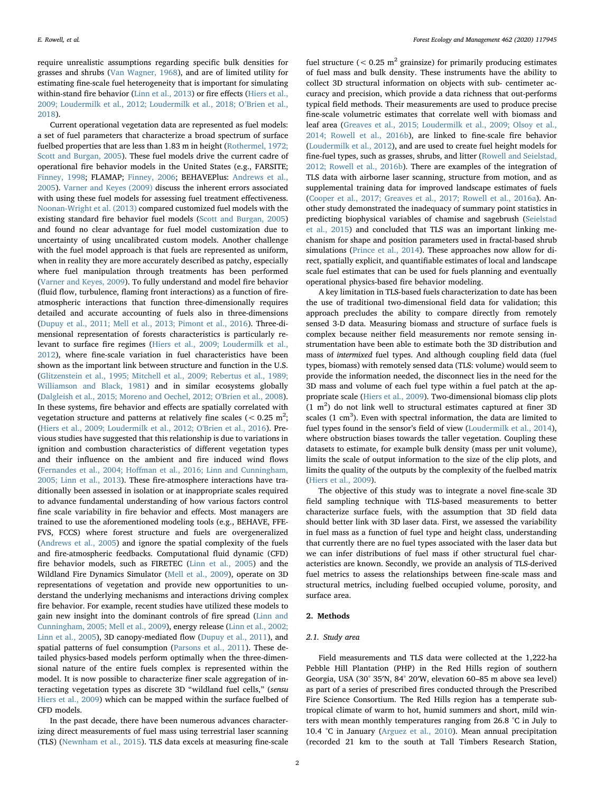require unrealistic assumptions regarding specific bulk densities for grasses and shrubs [\(Van Wagner, 1968\)](#page-8-6), and are of limited utility for estimating fine-scale fuel heterogeneity that is important for simulating within-stand fire behavior [\(Linn et al., 2013\)](#page-7-10) or fire effects [\(Hiers et al.,](#page-7-4) [2009; Loudermilk et al., 2012; Loudermilk et al., 2018; O](#page-7-4)'Brien et al., [2018\)](#page-7-4).

Current operational vegetation data are represented as fuel models: a set of fuel parameters that characterize a broad spectrum of surface fuelbed properties that are less than 1.83 m in height [\(Rothermel, 1972;](#page-8-7) [Scott and Burgan, 2005\)](#page-8-7). These fuel models drive the current cadre of operational fire behavior models in the United States (e.g., FARSITE; [Finney, 1998](#page-7-11); FLAMAP; [Finney, 2006;](#page-7-12) BEHAVEPlus: [Andrews et al.,](#page-7-13) [2005\)](#page-7-13). [Varner and Keyes \(2009\)](#page-8-8) discuss the inherent errors associated with using these fuel models for assessing fuel treatment effectiveness. [Noonan-Wright et al. \(2013\)](#page-8-9) compared customized fuel models with the existing standard fire behavior fuel models ([Scott and Burgan, 2005\)](#page-8-10) and found no clear advantage for fuel model customization due to uncertainty of using uncalibrated custom models. Another challenge with the fuel model approach is that fuels are represented as uniform, when in reality they are more accurately described as patchy, especially where fuel manipulation through treatments has been performed ([Varner and Keyes, 2009\)](#page-8-8). To fully understand and model fire behavior (fluid flow, turbulence, flaming front interactions) as a function of fireatmospheric interactions that function three-dimensionally requires detailed and accurate accounting of fuels also in three-dimensions ([Dupuy et al., 2011; Mell et al., 2013; Pimont et al., 2016](#page-7-14)). Three-dimensional representation of forests characteristics is particularly relevant to surface fire regimes [\(Hiers et al., 2009; Loudermilk et al.,](#page-7-4) [2012\)](#page-7-4), where fine-scale variation in fuel characteristics have been shown as the important link between structure and function in the U.S. ([Glitzenstein et al., 1995; Mitchell et al., 2009; Rebertus et al., 1989;](#page-7-15) [Williamson and Black, 1981](#page-7-15)) and in similar ecosystems globally ([Dalgleish et al., 2015; Moreno and Oechel, 2012; O'Brien et al., 2008](#page-7-16)). In these systems, fire behavior and effects are spatially correlated with vegetation structure and patterns at relatively fine scales (  $< 0.25 \text{ m}^2$ ; ([Hiers et al., 2009; Loudermilk et al., 2012; O'Brien et al., 2016\)](#page-7-4). Previous studies have suggested that this relationship is due to variations in ignition and combustion characteristics of different vegetation types and their influence on the ambient and fire induced wind flows (Fernandes et al., 2004; Hoff[man et al., 2016; Linn and Cunningham,](#page-7-17) [2005; Linn et al., 2013](#page-7-17)). These fire-atmosphere interactions have traditionally been assessed in isolation or at inappropriate scales required to advance fundamental understanding of how various factors control fine scale variability in fire behavior and effects. Most managers are trained to use the aforementioned modeling tools (e.g., BEHAVE, FFE-FVS, FCCS) where forest structure and fuels are overgeneralized ([Andrews et al., 2005](#page-7-13)) and ignore the spatial complexity of the fuels and fire-atmospheric feedbacks. Computational fluid dynamic (CFD) fire behavior models, such as FIRETEC ([Linn et al., 2005](#page-7-18)) and the Wildland Fire Dynamics Simulator [\(Mell et al., 2009\)](#page-8-11), operate on 3D representations of vegetation and provide new opportunities to understand the underlying mechanisms and interactions driving complex fire behavior. For example, recent studies have utilized these models to gain new insight into the dominant controls of fire spread ([Linn and](#page-7-19) [Cunningham, 2005; Mell et al., 2009](#page-7-19)), energy release [\(Linn et al., 2002;](#page-7-20) [Linn et al., 2005](#page-7-20)), 3D canopy-mediated flow [\(Dupuy et al., 2011\)](#page-7-14), and spatial patterns of fuel consumption [\(Parsons et al., 2011\)](#page-8-12). These detailed physics-based models perform optimally when the three-dimensional nature of the entire fuels complex is represented within the model. It is now possible to characterize finer scale aggregation of interacting vegetation types as discrete 3D "wildland fuel cells," (sensu [Hiers et al., 2009](#page-7-4)) which can be mapped within the surface fuelbed of CFD models.

In the past decade, there have been numerous advances characterizing direct measurements of fuel mass using terrestrial laser scanning (TLS) [\(Newnham et al., 2015\)](#page-8-13). TLS data excels at measuring fine-scale fuel structure ( $< 0.25$  m<sup>2</sup> grainsize) for primarily producing estimates of fuel mass and bulk density. These instruments have the ability to collect 3D structural information on objects with sub- centimeter accuracy and precision, which provide a data richness that out-performs typical field methods. Their measurements are used to produce precise fine-scale volumetric estimates that correlate well with biomass and leaf area [\(Greaves et al., 2015; Loudermilk et al., 2009; Olsoy et al.,](#page-7-21) [2014; Rowell et al., 2016b](#page-7-21)), are linked to fine-scale fire behavior ([Loudermilk et al., 2012](#page-8-14)), and are used to create fuel height models for fine-fuel types, such as grasses, shrubs, and litter ([Rowell and Seielstad,](#page-8-15) [2012; Rowell et al., 2016b](#page-8-15)). There are examples of the integration of TLS data with airborne laser scanning, structure from motion, and as supplemental training data for improved landscape estimates of fuels ([Cooper et al., 2017; Greaves et al., 2017; Rowell et al., 2016a\)](#page-7-22). Another study demonstrated the inadequacy of summary point statistics in predicting biophysical variables of chamise and sagebrush [\(Seielstad](#page-8-16) [et al., 2015\)](#page-8-16) and concluded that TLS was an important linking mechanism for shape and position parameters used in fractal-based shrub simulations [\(Prince et al., 2014\)](#page-8-17). These approaches now allow for direct, spatially explicit, and quantifiable estimates of local and landscape scale fuel estimates that can be used for fuels planning and eventually operational physics-based fire behavior modeling.

A key limitation in TLS-based fuels characterization to date has been the use of traditional two-dimensional field data for validation; this approach precludes the ability to compare directly from remotely sensed 3-D data. Measuring biomass and structure of surface fuels is complex because neither field measurements nor remote sensing instrumentation have been able to estimate both the 3D distribution and mass of intermixed fuel types. And although coupling field data (fuel types, biomass) with remotely sensed data (TLS: volume) would seem to provide the information needed, the disconnect lies in the need for the 3D mass and volume of each fuel type within a fuel patch at the appropriate scale ([Hiers et al., 2009](#page-7-4)). Two-dimensional biomass clip plots  $(1 \text{ m}^2)$  do not link well to structural estimates captured at finer 3D scales  $(1 \text{ cm}^3)$ . Even with spectral information, the data are limited to fuel types found in the sensor's field of view [\(Loudermilk et al., 2014](#page-8-18)), where obstruction biases towards the taller vegetation. Coupling these datasets to estimate, for example bulk density (mass per unit volume), limits the scale of output information to the size of the clip plots, and limits the quality of the outputs by the complexity of the fuelbed matrix ([Hiers et al., 2009\)](#page-7-4).

The objective of this study was to integrate a novel fine-scale 3D field sampling technique with TLS-based measurements to better characterize surface fuels, with the assumption that 3D field data should better link with 3D laser data. First, we assessed the variability in fuel mass as a function of fuel type and height class, understanding that currently there are no fuel types associated with the laser data but we can infer distributions of fuel mass if other structural fuel characteristics are known. Secondly, we provide an analysis of TLS-derived fuel metrics to assess the relationships between fine-scale mass and structural metrics, including fuelbed occupied volume, porosity, and surface area.

# 2. Methods

## 2.1. Study area

Field measurements and TLS data were collected at the 1,222-ha Pebble Hill Plantation (PHP) in the Red Hills region of southern Georgia, USA (30° 35′N, 84° 20′W, elevation 60–85 m above sea level) as part of a series of prescribed fires conducted through the Prescribed Fire Science Consortium. The Red Hills region has a temperate subtropical climate of warm to hot, humid summers and short, mild winters with mean monthly temperatures ranging from 26.8 °C in July to 10.4 °C in January [\(Arguez et al., 2010](#page-7-23)). Mean annual precipitation (recorded 21 km to the south at Tall Timbers Research Station,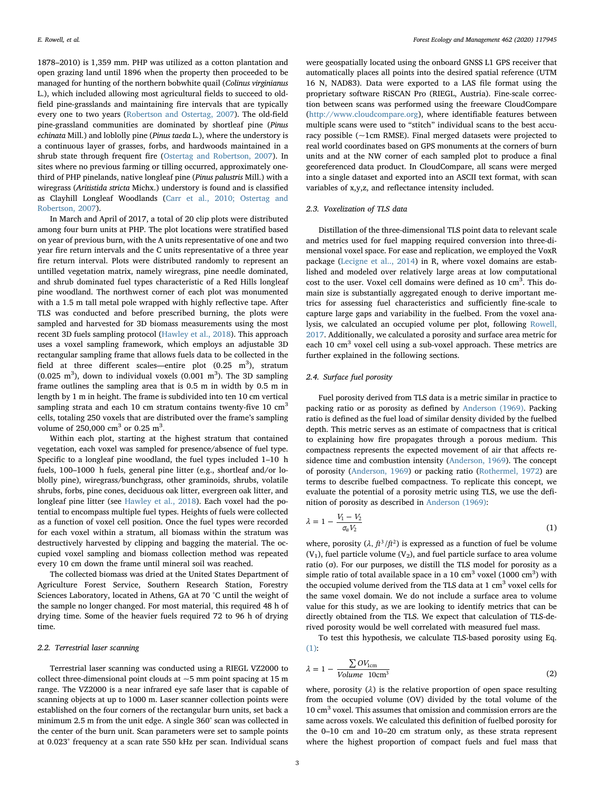1878–2010) is 1,359 mm. PHP was utilized as a cotton plantation and open grazing land until 1896 when the property then proceeded to be managed for hunting of the northern bobwhite quail (Colinus virginianus L.), which included allowing most agricultural fields to succeed to oldfield pine-grasslands and maintaining fire intervals that are typically every one to two years ([Robertson and Ostertag, 2007\)](#page-8-19). The old-field pine-grassland communities are dominated by shortleaf pine (Pinus echinata Mill.) and loblolly pine (Pinus taeda L.), where the understory is a continuous layer of grasses, forbs, and hardwoods maintained in a shrub state through frequent fire ([Ostertag and Robertson, 2007\)](#page-8-20). In sites where no previous farming or tilling occurred, approximately onethird of PHP pinelands, native longleaf pine (Pinus palustris Mill.) with a wiregrass (Aritistida stricta Michx.) understory is found and is classified as Clayhill Longleaf Woodlands [\(Carr et al., 2010; Ostertag and](#page-7-24) [Robertson, 2007](#page-7-24)).

In March and April of 2017, a total of 20 clip plots were distributed among four burn units at PHP. The plot locations were stratified based on year of previous burn, with the A units representative of one and two year fire return intervals and the C units representative of a three year fire return interval. Plots were distributed randomly to represent an untilled vegetation matrix, namely wiregrass, pine needle dominated, and shrub dominated fuel types characteristic of a Red Hills longleaf pine woodland. The northwest corner of each plot was monumented with a 1.5 m tall metal pole wrapped with highly reflective tape. After TLS was conducted and before prescribed burning, the plots were sampled and harvested for 3D biomass measurements using the most recent 3D fuels sampling protocol ([Hawley et al., 2018](#page-7-25)). This approach uses a voxel sampling framework, which employs an adjustable 3D rectangular sampling frame that allows fuels data to be collected in the field at three different scales—entire plot  $(0.25 \text{ m}^3)$ , stratum (0.025 m<sup>3</sup>), down to individual voxels (0.001 m<sup>3</sup>). The 3D sampling frame outlines the sampling area that is 0.5 m in width by 0.5 m in length by 1 m in height. The frame is subdivided into ten 10 cm vertical sampling strata and each 10 cm stratum contains twenty-five 10  $\text{cm}^3$ cells, totaling 250 voxels that are distributed over the frame's sampling volume of 250,000  $\text{cm}^3$  or 0.25  $\text{m}^3$ .

Within each plot, starting at the highest stratum that contained vegetation, each voxel was sampled for presence/absence of fuel type. Specific to a longleaf pine woodland, the fuel types included 1–10 h fuels, 100–1000 h fuels, general pine litter (e.g., shortleaf and/or loblolly pine), wiregrass/bunchgrass, other graminoids, shrubs, volatile shrubs, forbs, pine cones, deciduous oak litter, evergreen oak litter, and longleaf pine litter (see [Hawley et al., 2018](#page-7-25)). Each voxel had the potential to encompass multiple fuel types. Heights of fuels were collected as a function of voxel cell position. Once the fuel types were recorded for each voxel within a stratum, all biomass within the stratum was destructively harvested by clipping and bagging the material. The occupied voxel sampling and biomass collection method was repeated every 10 cm down the frame until mineral soil was reached.

The collected biomass was dried at the United States Department of Agriculture Forest Service, Southern Research Station, Forestry Sciences Laboratory, located in Athens, GA at 70 °C until the weight of the sample no longer changed. For most material, this required 48 h of drying time. Some of the heavier fuels required 72 to 96 h of drying time.

## 2.2. Terrestrial laser scanning

Terrestrial laser scanning was conducted using a RIEGL VZ2000 to collect three-dimensional point clouds at  $\sim$  5 mm point spacing at 15 m range. The VZ2000 is a near infrared eye safe laser that is capable of scanning objects at up to 1000 m. Laser scanner collection points were established on the four corners of the rectangular burn units, set back a minimum 2.5 m from the unit edge. A single 360° scan was collected in the center of the burn unit. Scan parameters were set to sample points at 0.023° frequency at a scan rate 550 kHz per scan. Individual scans

were geospatially located using the onboard GNSS L1 GPS receiver that automatically places all points into the desired spatial reference (UTM 16 N, NAD83). Data were exported to a LAS file format using the proprietary software RiSCAN Pro (RIEGL, Austria). Fine-scale correction between scans was performed using the freeware CloudCompare ([http://www.cloudcompare.org\)](http://www.cloudcompare.org), where identifiable features between multiple scans were used to "stitch" individual scans to the best accuracy possible (~1cm RMSE). Final merged datasets were projected to real world coordinates based on GPS monuments at the corners of burn units and at the NW corner of each sampled plot to produce a final georeferenced data product. In CloudCompare, all scans were merged into a single dataset and exported into an ASCII text format, with scan variables of x,y,z, and reflectance intensity included.

# 2.3. Voxelization of TLS data

Distillation of the three-dimensional TLS point data to relevant scale and metrics used for fuel mapping required conversion into three-dimensional voxel space. For ease and replication, we employed the VoxR package [\(Lecigne et al.., 2014\)](#page-8-21) in R, where voxel domains are established and modeled over relatively large areas at low computational cost to the user. Voxel cell domains were defined as 10 cm<sup>3</sup>. This domain size is substantially aggregated enough to derive important metrics for assessing fuel characteristics and sufficiently fine-scale to capture large gaps and variability in the fuelbed. From the voxel analysis, we calculated an occupied volume per plot, following [Rowell,](#page-8-22) [2017.](#page-8-22) Additionally, we calculated a porosity and surface area metric for each 10  $\text{cm}^3$  voxel cell using a sub-voxel approach. These metrics are further explained in the following sections.

# 2.4. Surface fuel porosity

Fuel porosity derived from TLS data is a metric similar in practice to packing ratio or as porosity as defined by [Anderson \(1969\)](#page-7-26). Packing ratio is defined as the fuel load of similar density divided by the fuelbed depth. This metric serves as an estimate of compactness that is critical to explaining how fire propagates through a porous medium. This compactness represents the expected movement of air that affects residence time and combustion intensity ([Anderson, 1969](#page-7-26)). The concept of porosity ([Anderson, 1969\)](#page-7-26) or packing ratio ([Rothermel, 1972](#page-8-7)) are terms to describe fuelbed compactness. To replicate this concept, we evaluate the potential of a porosity metric using TLS, we use the definition of porosity as described in [Anderson \(1969\):](#page-7-26)

<span id="page-2-0"></span>
$$
\lambda = 1 - \frac{V_1 - V_2}{\sigma_a V_2} \tag{1}
$$

where, porosity  $(\lambda, ft^3/ft^2)$  is expressed as a function of fuel be volume  $(V_1)$ , fuel particle volume  $(V_2)$ , and fuel particle surface to area volume ratio (σ). For our purposes, we distill the TLS model for porosity as a simple ratio of total available space in a 10  $\text{cm}^3$  voxel (1000  $\text{cm}^3$ ) with the occupied volume derived from the TLS data at 1 cm<sup>3</sup> voxel cells for the same voxel domain. We do not include a surface area to volume value for this study, as we are looking to identify metrics that can be directly obtained from the TLS. We expect that calculation of TLS-derived porosity would be well correlated with measured fuel mass.

To test this hypothesis, we calculate TLS-based porosity using Eq. [\(1\)](#page-2-0):

$$
\lambda = 1 - \frac{\sum OV_{\text{1cm}}}{Volume \ 10 \text{cm}^3} \tag{2}
$$

where, porosity  $(\lambda)$  is the relative proportion of open space resulting from the occupied volume (OV) divided by the total volume of the 10 cm<sup>3</sup> voxel. This assumes that omission and commission errors are the same across voxels. We calculated this definition of fuelbed porosity for the 0–10 cm and 10–20 cm stratum only, as these strata represent where the highest proportion of compact fuels and fuel mass that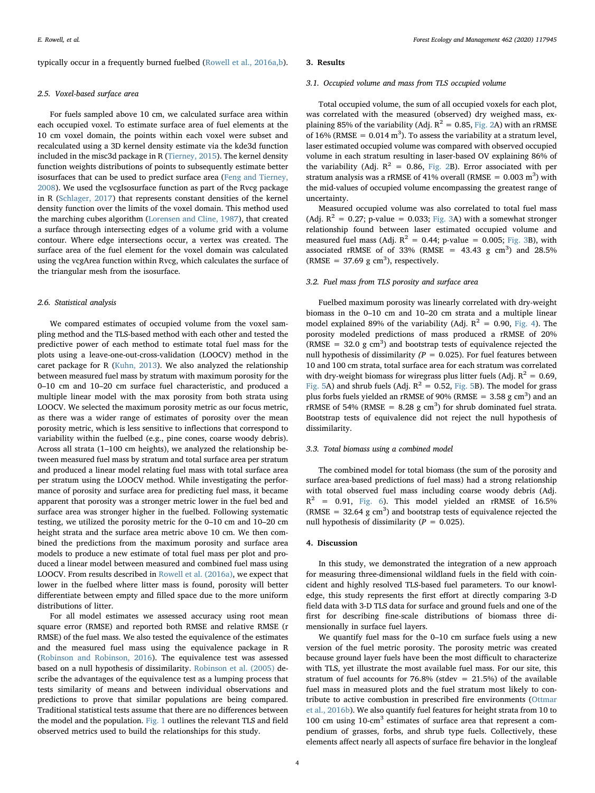typically occur in a frequently burned fuelbed ([Rowell et al., 2016a,b](#page-8-23)).

#### 2.5. Voxel-based surface area

For fuels sampled above 10 cm, we calculated surface area within each occupied voxel. To estimate surface area of fuel elements at the 10 cm voxel domain, the points within each voxel were subset and recalculated using a 3D kernel density estimate via the kde3d function included in the misc3d package in R [\(Tierney, 2015](#page-8-24)). The kernel density function weights distributions of points to subsequently estimate better isosurfaces that can be used to predict surface area ([Feng and Tierney,](#page-7-27) [2008\)](#page-7-27). We used the vcgIsosurface function as part of the Rvcg package in R [\(Schlager, 2017\)](#page-8-25) that represents constant densities of the kernel density function over the limits of the voxel domain. This method used the marching cubes algorithm ([Lorensen and Cline, 1987\)](#page-8-26), that created a surface through intersecting edges of a volume grid with a volume contour. Where edge intersections occur, a vertex was created. The surface area of the fuel element for the voxel domain was calculated using the vcgArea function within Rvcg, which calculates the surface of the triangular mesh from the isosurface.

#### 2.6. Statistical analysis

We compared estimates of occupied volume from the voxel sampling method and the TLS-based method with each other and tested the predictive power of each method to estimate total fuel mass for the plots using a leave-one-out-cross-validation (LOOCV) method in the caret package for R [\(Kuhn, 2013](#page-7-28)). We also analyzed the relationship between measured fuel mass by stratum with maximum porosity for the 0–10 cm and 10–20 cm surface fuel characteristic, and produced a multiple linear model with the max porosity from both strata using LOOCV. We selected the maximum porosity metric as our focus metric, as there was a wider range of estimates of porosity over the mean porosity metric, which is less sensitive to inflections that correspond to variability within the fuelbed (e.g., pine cones, coarse woody debris). Across all strata (1–100 cm heights), we analyzed the relationship between measured fuel mass by stratum and total surface area per stratum and produced a linear model relating fuel mass with total surface area per stratum using the LOOCV method. While investigating the performance of porosity and surface area for predicting fuel mass, it became apparent that porosity was a stronger metric lower in the fuel bed and surface area was stronger higher in the fuelbed. Following systematic testing, we utilized the porosity metric for the 0–10 cm and 10–20 cm height strata and the surface area metric above 10 cm. We then combined the predictions from the maximum porosity and surface area models to produce a new estimate of total fuel mass per plot and produced a linear model between measured and combined fuel mass using LOOCV. From results described in [Rowell et al. \(2016a\)](#page-8-23), we expect that lower in the fuelbed where litter mass is found, porosity will better differentiate between empty and filled space due to the more uniform distributions of litter.

For all model estimates we assessed accuracy using root mean square error (RMSE) and reported both RMSE and relative RMSE (r RMSE) of the fuel mass. We also tested the equivalence of the estimates and the measured fuel mass using the equivalence package in R ([Robinson and Robinson, 2016](#page-8-27)). The equivalence test was assessed based on a null hypothesis of dissimilarity. [Robinson et al. \(2005\)](#page-8-28) describe the advantages of the equivalence test as a lumping process that tests similarity of means and between individual observations and predictions to prove that similar populations are being compared. Traditional statistical tests assume that there are no differences between the model and the population. [Fig. 1](#page-4-0) outlines the relevant TLS and field observed metrics used to build the relationships for this study.

#### 3. Results

#### 3.1. Occupied volume and mass from TLS occupied volume

Total occupied volume, the sum of all occupied voxels for each plot, was correlated with the measured (observed) dry weighed mass, explaining 85% of the variability (Adj.  $R^2 = 0.85$ , [Fig. 2A](#page-4-1)) with an rRMSE of 16% (RMSE =  $0.014 \text{ m}^3$ ). To assess the variability at a stratum level, laser estimated occupied volume was compared with observed occupied volume in each stratum resulting in laser-based OV explaining 86% of the variability (Adj.  $R^2 = 0.86$ . [Fig. 2](#page-4-1)B). Error associated with per stratum analysis was a rRMSE of 41% overall (RMSE =  $0.003 \text{ m}^3$ ) with the mid-values of occupied volume encompassing the greatest range of uncertainty.

Measured occupied volume was also correlated to total fuel mass (Adj.  $R^2 = 0.27$ ; p-value = 0.033; [Fig. 3A](#page-5-0)) with a somewhat stronger relationship found between laser estimated occupied volume and measured fuel mass (Adj.  $R^2 = 0.44$ ; p-value = 0.005; [Fig. 3B](#page-5-0)), with associated rRMSE of of 33% (RMSE =  $43.43$  g cm<sup>3</sup>) and 28.5% (RMSE =  $37.69$  g cm<sup>3</sup>), respectively.

#### 3.2. Fuel mass from TLS porosity and surface area

Fuelbed maximum porosity was linearly correlated with dry-weight biomass in the 0–10 cm and 10–20 cm strata and a multiple linear model explained 89% of the variability (Adj.  $R^2 = 0.90$ , [Fig. 4](#page-5-1)). The porosity modeled predictions of mass produced a rRMSE of 20% (RMSE =  $32.0 \text{ g cm}^3$ ) and bootstrap tests of equivalence rejected the null hypothesis of dissimilarity ( $P = 0.025$ ). For fuel features between 10 and 100 cm strata, total surface area for each stratum was correlated with dry-weight biomass for wiregrass plus litter fuels (Adj.  $R^2 = 0.69$ , [Fig. 5A](#page-6-0)) and shrub fuels (Adj.  $R^2 = 0.52$ , [Fig. 5](#page-6-0)B). The model for grass plus forbs fuels yielded an rRMSE of 90% (RMSE =  $3.58$  g cm<sup>3</sup>) and an rRMSE of 54% (RMSE =  $8.28$  g cm<sup>3</sup>) for shrub dominated fuel strata. Bootstrap tests of equivalence did not reject the null hypothesis of dissimilarity.

# 3.3. Total biomass using a combined model

The combined model for total biomass (the sum of the porosity and surface area-based predictions of fuel mass) had a strong relationship with total observed fuel mass including coarse woody debris (Adj.  $R^2$  = 0.91, [Fig. 6\)](#page-6-1). This model yielded an rRMSE of 16.5% (RMSE =  $32.64$  g cm<sup>3</sup>) and bootstrap tests of equivalence rejected the null hypothesis of dissimilarity ( $P = 0.025$ ).

#### 4. Discussion

In this study, we demonstrated the integration of a new approach for measuring three-dimensional wildland fuels in the field with coincident and highly resolved TLS-based fuel parameters. To our knowledge, this study represents the first effort at directly comparing 3-D field data with 3-D TLS data for surface and ground fuels and one of the first for describing fine-scale distributions of biomass three dimensionally in surface fuel layers.

We quantify fuel mass for the 0–10 cm surface fuels using a new version of the fuel metric porosity. The porosity metric was created because ground layer fuels have been the most difficult to characterize with TLS, yet illustrate the most available fuel mass. For our site, this stratum of fuel accounts for 76.8% (stdev =  $21.5%$ ) of the available fuel mass in measured plots and the fuel stratum most likely to contribute to active combustion in prescribed fire environments [\(Ottmar](#page-8-29) [et al., 2016b](#page-8-29)). We also quantify fuel features for height strata from 10 to 100 cm using 10-cm<sup>3</sup> estimates of surface area that represent a compendium of grasses, forbs, and shrub type fuels. Collectively, these elements affect nearly all aspects of surface fire behavior in the longleaf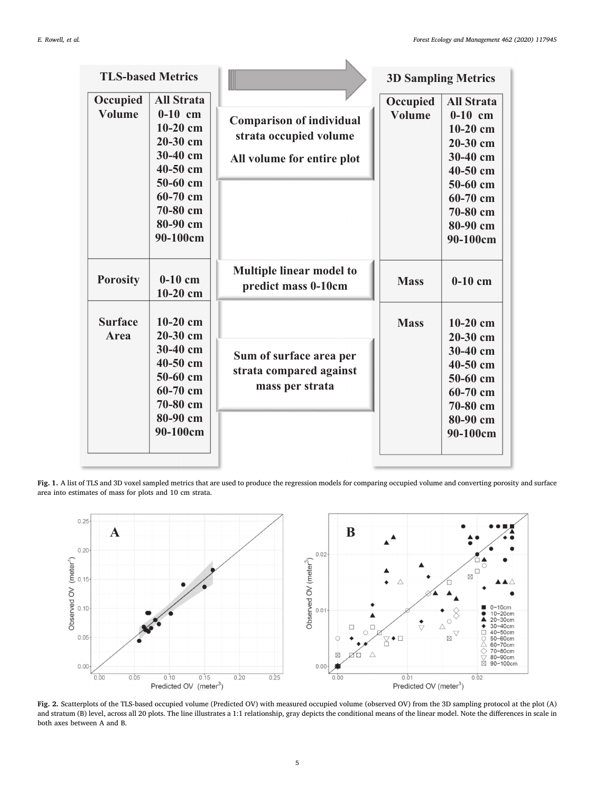<span id="page-4-0"></span>

| <b>TLS-based Metrics</b>  |                                                                                                                                                |                                                                                         | <b>3D Sampling Metrics</b> |                                                                                                                                                  |
|---------------------------|------------------------------------------------------------------------------------------------------------------------------------------------|-----------------------------------------------------------------------------------------|----------------------------|--------------------------------------------------------------------------------------------------------------------------------------------------|
| Occupied<br><b>Volume</b> | <b>All Strata</b><br>$0-10$ cm<br>$10-20$ cm<br>20-30 cm<br>30-40 cm<br>40-50 cm<br>50-60 cm<br>$60-70$ cm<br>70-80 cm<br>80-90 cm<br>90-100cm | <b>Comparison of individual</b><br>strata occupied volume<br>All volume for entire plot | Occupied<br><b>Volume</b>  | <b>All Strata</b><br>$0-10$ cm<br>$10-20$ cm<br>20-30 cm<br>30-40 cm<br>40-50 cm<br>$50-60$ cm<br>$60-70$ cm<br>70-80 cm<br>80-90 cm<br>90-100cm |
| <b>Porosity</b>           | $0-10$ cm<br>$10-20$ cm                                                                                                                        | <b>Multiple linear model to</b><br>predict mass 0-10cm                                  | <b>Mass</b>                | $0-10$ cm                                                                                                                                        |
| <b>Surface</b><br>Area    | $10-20$ cm<br>$20-30$ cm<br>30-40 cm<br>$40-50$ cm<br>50-60 cm<br>$60-70$ cm<br>70-80 cm<br>80-90 cm<br>90-100cm                               | Sum of surface area per<br>strata compared against<br>mass per strata                   | <b>Mass</b>                | $10-20$ cm<br>$20-30$ cm<br>30-40 cm<br>40-50 cm<br>50-60 cm<br>$60 - 70$ cm<br>70-80 cm<br>80-90 cm<br>90-100cm                                 |

Fig. 1. A list of TLS and 3D voxel sampled metrics that are used to produce the regression models for comparing occupied volume and converting porosity and surface area into estimates of mass for plots and 10 cm strata.

<span id="page-4-1"></span>

Fig. 2. Scatterplots of the TLS-based occupied volume (Predicted OV) with measured occupied volume (observed OV) from the 3D sampling protocol at the plot (A) and stratum (B) level, across all 20 plots. The line illustrates a 1:1 relationship, gray depicts the conditional means of the linear model. Note the differences in scale in both axes between A and B.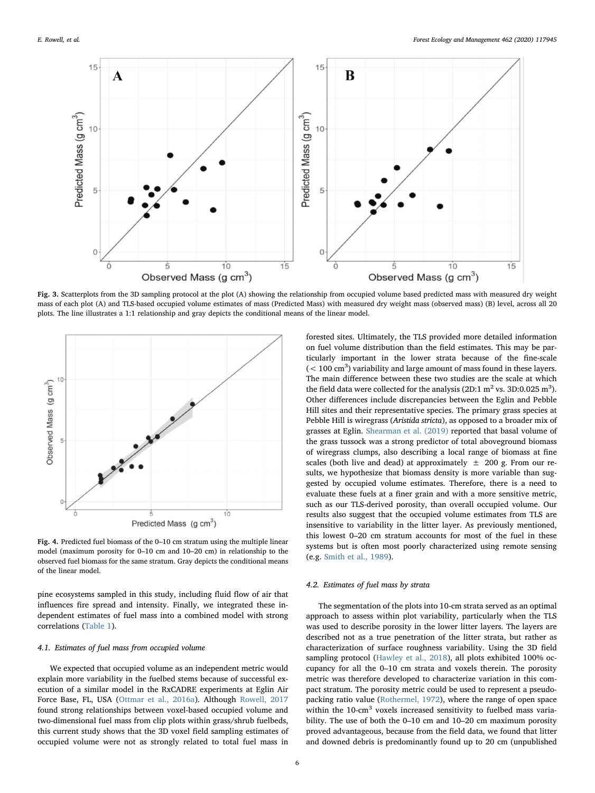<span id="page-5-0"></span>

Fig. 3. Scatterplots from the 3D sampling protocol at the plot (A) showing the relationship from occupied volume based predicted mass with measured dry weight mass of each plot (A) and TLS-based occupied volume estimates of mass (Predicted Mass) with measured dry weight mass (observed mass) (B) level, across all 20 plots. The line illustrates a 1:1 relationship and gray depicts the conditional means of the linear model.

<span id="page-5-1"></span>

Fig. 4. Predicted fuel biomass of the 0–10 cm stratum using the multiple linear model (maximum porosity for 0–10 cm and 10–20 cm) in relationship to the observed fuel biomass for the same stratum. Gray depicts the conditional means of the linear model.

pine ecosystems sampled in this study, including fluid flow of air that influences fire spread and intensity. Finally, we integrated these independent estimates of fuel mass into a combined model with strong correlations [\(Table 1\)](#page-6-2).

# 4.1. Estimates of fuel mass from occupied volume

We expected that occupied volume as an independent metric would explain more variability in the fuelbed stems because of successful execution of a similar model in the RxCADRE experiments at Eglin Air Force Base, FL, USA [\(Ottmar et al., 2016a](#page-8-3)). Although [Rowell, 2017](#page-8-22) found strong relationships between voxel-based occupied volume and two-dimensional fuel mass from clip plots within grass/shrub fuelbeds, this current study shows that the 3D voxel field sampling estimates of occupied volume were not as strongly related to total fuel mass in forested sites. Ultimately, the TLS provided more detailed information on fuel volume distribution than the field estimates. This may be particularly important in the lower strata because of the fine-scale  $(< 100 \text{ cm}^3)$  variability and large amount of mass found in these layers. The main difference between these two studies are the scale at which the field data were collected for the analysis (2D:1  $m^2$  vs. 3D:0.025  $m^3$ ). Other differences include discrepancies between the Eglin and Pebble Hill sites and their representative species. The primary grass species at Pebble Hill is wiregrass (Aristida stricta), as opposed to a broader mix of grasses at Eglin. [Shearman et al. \(2019\)](#page-8-30) reported that basal volume of the grass tussock was a strong predictor of total aboveground biomass of wiregrass clumps, also describing a local range of biomass at fine scales (both live and dead) at approximately  $\pm$  200 g. From our results, we hypothesize that biomass density is more variable than suggested by occupied volume estimates. Therefore, there is a need to evaluate these fuels at a finer grain and with a more sensitive metric, such as our TLS-derived porosity, than overall occupied volume. Our results also suggest that the occupied volume estimates from TLS are insensitive to variability in the litter layer. As previously mentioned, this lowest 0–20 cm stratum accounts for most of the fuel in these systems but is often most poorly characterized using remote sensing (e.g. [Smith et al., 1989\)](#page-8-31).

#### 4.2. Estimates of fuel mass by strata

The segmentation of the plots into 10-cm strata served as an optimal approach to assess within plot variability, particularly when the TLS was used to describe porosity in the lower litter layers. The layers are described not as a true penetration of the litter strata, but rather as characterization of surface roughness variability. Using the 3D field sampling protocol ([Hawley et al., 2018\)](#page-7-25), all plots exhibited 100% occupancy for all the 0–10 cm strata and voxels therein. The porosity metric was therefore developed to characterize variation in this compact stratum. The porosity metric could be used to represent a pseudopacking ratio value ([Rothermel, 1972](#page-8-7)), where the range of open space within the  $10$ -cm<sup>3</sup> voxels increased sensitivity to fuelbed mass variability. The use of both the 0–10 cm and 10–20 cm maximum porosity proved advantageous, because from the field data, we found that litter and downed debris is predominantly found up to 20 cm (unpublished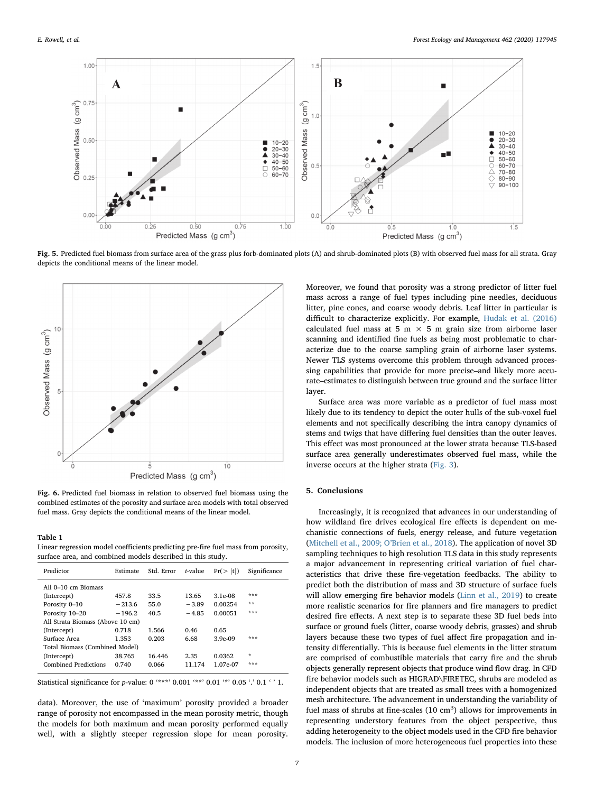<span id="page-6-0"></span>

Fig. 5. Predicted fuel biomass from surface area of the grass plus forb-dominated plots (A) and shrub-dominated plots (B) with observed fuel mass for all strata. Gray depicts the conditional means of the linear model.

<span id="page-6-1"></span>

Fig. 6. Predicted fuel biomass in relation to observed fuel biomass using the combined estimates of the porosity and surface area models with total observed fuel mass. Gray depicts the conditional means of the linear model.

#### <span id="page-6-2"></span>Table 1

Linear regression model coefficients predicting pre-fire fuel mass from porosity, surface area, and combined models described in this study.

| Predictor                        | Estimate | Std. Error | t-value | Pr(>  t ) | Significance |  |  |  |
|----------------------------------|----------|------------|---------|-----------|--------------|--|--|--|
| All 0-10 cm Biomass              |          |            |         |           |              |  |  |  |
| (Intercept)                      | 457.8    | 33.5       | 13.65   | $3.1e-08$ | ***          |  |  |  |
| Porosity 0-10                    | $-213.6$ | 55.0       | $-3.89$ | 0.00254   | **           |  |  |  |
| Porosity 10-20                   | $-196.2$ | 40.5       | $-4.85$ | 0.00051   | ***          |  |  |  |
| All Strata Biomass (Above 10 cm) |          |            |         |           |              |  |  |  |
| (Intercept)                      | 0.718    | 1.566      | 0.46    | 0.65      |              |  |  |  |
| Surface Area                     | 1.353    | 0.203      | 6.68    | $3.9e-09$ | ***          |  |  |  |
| Total Biomass (Combined Model)   |          |            |         |           |              |  |  |  |
| (Intercept)                      | 38.765   | 16.446     | 2.35    | 0.0362    | ÷            |  |  |  |
| Combined Predictions             | 0.740    | 0.066      | 11.174  | 1.07e-07  | ***          |  |  |  |

Statistical significance for *p*-value: 0 '\*\*\*' 0.001 '\*\*' 0.01 '\*' 0.05 '.' 0.1 ' ' 1.

data). Moreover, the use of 'maximum' porosity provided a broader range of porosity not encompassed in the mean porosity metric, though the models for both maximum and mean porosity performed equally well, with a slightly steeper regression slope for mean porosity. Moreover, we found that porosity was a strong predictor of litter fuel mass across a range of fuel types including pine needles, deciduous litter, pine cones, and coarse woody debris. Leaf litter in particular is difficult to characterize explicitly. For example, [Hudak et al. \(2016\)](#page-7-29) calculated fuel mass at 5 m  $\times$  5 m grain size from airborne laser scanning and identified fine fuels as being most problematic to characterize due to the coarse sampling grain of airborne laser systems. Newer TLS systems overcome this problem through advanced processing capabilities that provide for more precise–and likely more accurate–estimates to distinguish between true ground and the surface litter layer.

Surface area was more variable as a predictor of fuel mass most likely due to its tendency to depict the outer hulls of the sub-voxel fuel elements and not specifically describing the intra canopy dynamics of stems and twigs that have differing fuel densities than the outer leaves. This effect was most pronounced at the lower strata because TLS-based surface area generally underestimates observed fuel mass, while the inverse occurs at the higher strata ([Fig. 3](#page-5-0)).

#### 5. Conclusions

Increasingly, it is recognized that advances in our understanding of how wildland fire drives ecological fire effects is dependent on mechanistic connections of fuels, energy release, and future vegetation ([Mitchell et al., 2009; O](#page-8-32)'Brien et al., 2018). The application of novel 3D sampling techniques to high resolution TLS data in this study represents a major advancement in representing critical variation of fuel characteristics that drive these fire-vegetation feedbacks. The ability to predict both the distribution of mass and 3D structure of surface fuels will allow emerging fire behavior models ([Linn et al., 2019](#page-7-30)) to create more realistic scenarios for fire planners and fire managers to predict desired fire effects. A next step is to separate these 3D fuel beds into surface or ground fuels (litter, coarse woody debris, grasses) and shrub layers because these two types of fuel affect fire propagation and intensity differentially. This is because fuel elements in the litter stratum are comprised of combustible materials that carry fire and the shrub objects generally represent objects that produce wind flow drag. In CFD fire behavior models such as HIGRAD\FIRETEC, shrubs are modeled as independent objects that are treated as small trees with a homogenized mesh architecture. The advancement in understanding the variability of fuel mass of shrubs at fine-scales  $(10 \text{ cm}^3)$  allows for improvements in representing understory features from the object perspective, thus adding heterogeneity to the object models used in the CFD fire behavior models. The inclusion of more heterogeneous fuel properties into these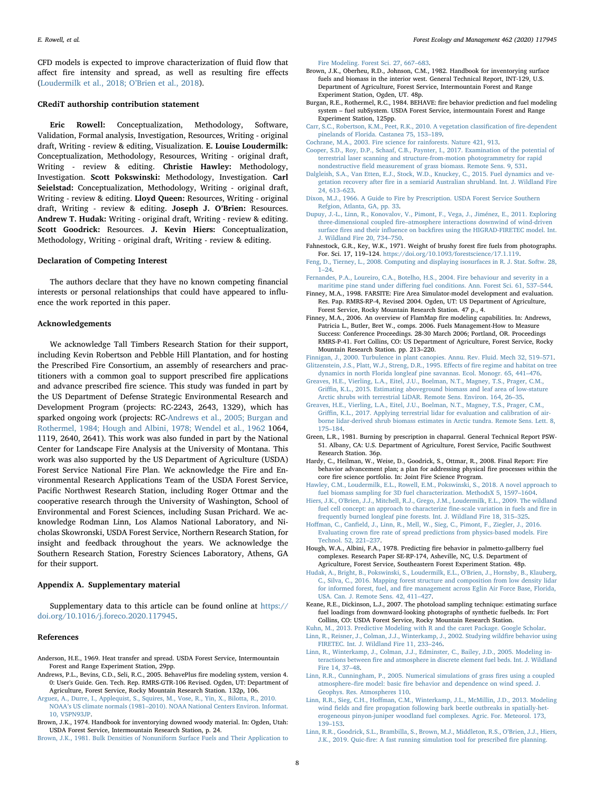CFD models is expected to improve characterization of fluid flow that affect fire intensity and spread, as well as resulting fire effects ([Loudermilk et al., 2018; O](#page-8-33)'Brien et al., 2018).

#### CRediT authorship contribution statement

Eric Rowell: Conceptualization, Methodology, Software, Validation, Formal analysis, Investigation, Resources, Writing - original draft, Writing - review & editing, Visualization. E. Louise Loudermilk: Conceptualization, Methodology, Resources, Writing - original draft, Writing - review & editing. Christie Hawley: Methodology, Investigation. Scott Pokswinski: Methodology, Investigation. Carl Seielstad: Conceptualization, Methodology, Writing - original draft, Writing - review & editing. Lloyd Queen: Resources, Writing - original draft, Writing - review & editing. Joseph J. O'Brien: Resources. Andrew T. Hudak: Writing - original draft, Writing - review & editing. Scott Goodrick: Resources. J. Kevin Hiers: Conceptualization, Methodology, Writing - original draft, Writing - review & editing.

#### Declaration of Competing Interest

The authors declare that they have no known competing financial interests or personal relationships that could have appeared to influence the work reported in this paper.

#### Acknowledgements

We acknowledge Tall Timbers Research Station for their support, including Kevin Robertson and Pebble Hill Plantation, and for hosting the Prescribed Fire Consortium, an assembly of researchers and practitioners with a common goal to support prescribed fire applications and advance prescribed fire science. This study was funded in part by the US Department of Defense Strategic Environmental Research and Development Program (projects: RC-2243, 2643, 1329), which has sparked ongoing work (projects: RC[-Andrews et al., 2005; Burgan and](#page-7-13) [Rothermel, 1984; Hough and Albini, 1978; Wendel et al., 1962](#page-7-13) 1064, 1119, 2640, 2641). This work was also funded in part by the National Center for Landscape Fire Analysis at the University of Montana. This work was also supported by the US Department of Agriculture (USDA) Forest Service National Fire Plan. We acknowledge the Fire and Environmental Research Applications Team of the USDA Forest Service, Pacific Northwest Research Station, including Roger Ottmar and the cooperative research through the University of Washington, School of Environmental and Forest Sciences, including Susan Prichard. We acknowledge Rodman Linn, Los Alamos National Laboratory, and Nicholas Skowronski, USDA Forest Service, Northern Research Station, for insight and feedback throughout the years. We acknowledge the Southern Research Station, Forestry Sciences Laboratory, Athens, GA for their support.

#### Appendix A. Supplementary material

Supplementary data to this article can be found online at [https://](https://doi.org/10.1016/j.foreco.2020.117945) [doi.org/10.1016/j.foreco.2020.117945.](https://doi.org/10.1016/j.foreco.2020.117945)

#### References

- <span id="page-7-26"></span>Anderson, H.E., 1969. Heat transfer and spread. USDA Forest Service, Intermountain Forest and Range Experiment Station, 29pp.
- <span id="page-7-13"></span>Andrews, P.L., Bevins, C.D., Seli, R.C., 2005. BehavePlus fire modeling system, version 4. 0: User's Guide. Gen. Tech. Rep. RMRS-GTR-106 Revised. Ogden, UT: Department of Agriculture, Forest Service, Rocky Mountain Research Station. 132p, 106.
- <span id="page-7-23"></span>[Arguez, A., Durre, I., Applequist, S., Squires, M., Vose, R., Yin, X., Bilotta, R., 2010.](http://refhub.elsevier.com/S0378-1127(19)32052-3/h0015) NOAA's US climate normals (1981–[2010\). NOAA National Centers Environ. Informat.](http://refhub.elsevier.com/S0378-1127(19)32052-3/h0015) [10, V5PN93JP.](http://refhub.elsevier.com/S0378-1127(19)32052-3/h0015)
- <span id="page-7-7"></span>Brown, J.K., 1974. Handbook for inventorying downed woody material. In: Ogden, Utah: USDA Forest Service, Intermountain Research Station, p. 24.
- <span id="page-7-8"></span>[Brown, J.K., 1981. Bulk Densities of Nonuniform Surface Fuels and Their Application to](http://refhub.elsevier.com/S0378-1127(19)32052-3/h0025)

[Fire Modeling. Forest Sci. 27, 667](http://refhub.elsevier.com/S0378-1127(19)32052-3/h0025)–683.

- <span id="page-7-5"></span>Brown, J.K., Oberheu, R.D., Johnson, C.M., 1982. Handbook for inventorying surface fuels and biomass in the interior west. General Technical Report, INT-129, U.S. Department of Agriculture, Forest Service, Intermountain Forest and Range Experiment Station, Ogden, UT. 48p.
- Burgan, R.E., Rothermel, R.C., 1984. BEHAVE: fire behavior prediction and fuel modeling system – fuel subSystem. USDA Forest Service, intermountain Forest and Range Experiment Station, 125pp.
- <span id="page-7-24"></span>[Carr, S.C., Robertson, K.M., Peet, R.K., 2010. A vegetation classi](http://refhub.elsevier.com/S0378-1127(19)32052-3/h0040)fication of fire-dependent [pinelands of Florida. Castanea 75, 153](http://refhub.elsevier.com/S0378-1127(19)32052-3/h0040)–189.
- <span id="page-7-2"></span>[Cochrane, M.A., 2003. Fire science for rainforests. Nature 421, 913.](http://refhub.elsevier.com/S0378-1127(19)32052-3/h0045)
- <span id="page-7-22"></span>[Cooper, S.D., Roy, D.P., Schaaf, C.B., Paynter, I., 2017. Examination of the potential of](http://refhub.elsevier.com/S0378-1127(19)32052-3/h0050) [terrestrial laser scanning and structure-from-motion photogrammetry for rapid](http://refhub.elsevier.com/S0378-1127(19)32052-3/h0050) nondestructive fi[eld measurement of grass biomass. Remote Sens. 9, 531](http://refhub.elsevier.com/S0378-1127(19)32052-3/h0050).
- <span id="page-7-16"></span>[Dalgleish, S.A., Van Etten, E.J., Stock, W.D., Knuckey, C., 2015. Fuel dynamics and ve](http://refhub.elsevier.com/S0378-1127(19)32052-3/h0055)getation recovery after fi[re in a semiarid Australian shrubland. Int. J. Wildland Fire](http://refhub.elsevier.com/S0378-1127(19)32052-3/h0055) [24, 613](http://refhub.elsevier.com/S0378-1127(19)32052-3/h0055)–623.
- <span id="page-7-0"></span>[Dixon, M.J., 1966. A Guide to Fire by Prescription. USDA Forest Service Southern](http://refhub.elsevier.com/S0378-1127(19)32052-3/h0060) [Refgion, Atlanta, GA, pp. 33.](http://refhub.elsevier.com/S0378-1127(19)32052-3/h0060)
- <span id="page-7-14"></span>[Dupuy, J.-L., Linn, R., Konovalov, V., Pimont, F., Vega, J., Jiménez, E., 2011. Exploring](http://refhub.elsevier.com/S0378-1127(19)32052-3/h0065) three-dimensional coupled fire–[atmosphere interactions downwind of wind-driven](http://refhub.elsevier.com/S0378-1127(19)32052-3/h0065) surface fires and their influence on backfi[res using the HIGRAD-FIRETEC model. Int.](http://refhub.elsevier.com/S0378-1127(19)32052-3/h0065) [J. Wildland Fire 20, 734](http://refhub.elsevier.com/S0378-1127(19)32052-3/h0065)–750.
- <span id="page-7-1"></span>Fahnestock, G.R., Key, W.K., 1971. Weight of brushy forest fire fuels from photographs. For. Sci. 17, 119–124. [https://doi.org/10.1093/forestscience/17.1.119.](https://doi.org/10.1093/forestscience/17.1.119)
- <span id="page-7-27"></span>[Feng, D., Tierney, L., 2008. Computing and displaying isosurfaces in R. J. Stat. Softw. 28,](http://refhub.elsevier.com/S0378-1127(19)32052-3/h0075)  $1-24$ .
- <span id="page-7-17"></span>[Fernandes, P.A., Loureiro, C.A., Botelho, H.S., 2004. Fire behaviour and severity in a](http://refhub.elsevier.com/S0378-1127(19)32052-3/h0080) maritime pine stand under diff[ering fuel conditions. Ann. Forest Sci. 61, 537](http://refhub.elsevier.com/S0378-1127(19)32052-3/h0080)–544.
- <span id="page-7-11"></span>Finney, M.A., 1998. FARSITE: Fire Area Simulator-model development and evaluation. Res. Pap. RMRS-RP-4, Revised 2004. Ogden, UT: US Department of Agriculture, Forest Service, Rocky Mountain Research Station. 47 p., 4.
- <span id="page-7-12"></span>Finney, M.A., 2006. An overview of FlamMap fire modeling capabilities. In: Andrews, Patricia L., Butler, Bret W., comps. 2006. Fuels Management-How to Measure Success: Conference Proceedings. 28-30 March 2006; Portland, OR. Proceedings RMRS-P-41. Fort Collins, CO: US Department of Agriculture, Forest Service, Rocky Mountain Research Station. pp. 213–220.
- <span id="page-7-15"></span><span id="page-7-3"></span>[Finnigan, J., 2000. Turbulence in plant canopies. Annu. Rev. Fluid. Mech 32, 519](http://refhub.elsevier.com/S0378-1127(19)32052-3/h0095)–571. [Glitzenstein, J.S., Platt, W.J., Streng, D.R., 1995. E](http://refhub.elsevier.com/S0378-1127(19)32052-3/h0100)ffects of fire regime and habitat on tree
- <span id="page-7-21"></span>[dynamics in north Florida longleaf pine savannas. Ecol. Monogr. 65, 441](http://refhub.elsevier.com/S0378-1127(19)32052-3/h0100)–476. [Greaves, H.E., Vierling, L.A., Eitel, J.U., Boelman, N.T., Magney, T.S., Prager, C.M.,](http://refhub.elsevier.com/S0378-1127(19)32052-3/h0105)
- Griffi[n, K.L., 2015. Estimating aboveground biomass and leaf area of low-stature](http://refhub.elsevier.com/S0378-1127(19)32052-3/h0105) [Arctic shrubs with terrestrial LiDAR. Remote Sens. Environ. 164, 26](http://refhub.elsevier.com/S0378-1127(19)32052-3/h0105)–35.
- [Greaves, H.E., Vierling, L.A., Eitel, J.U., Boelman, N.T., Magney, T.S., Prager, C.M.,](http://refhub.elsevier.com/S0378-1127(19)32052-3/h0110) Griffi[n, K.L., 2017. Applying terrestrial lidar for evaluation and calibration of air](http://refhub.elsevier.com/S0378-1127(19)32052-3/h0110)[borne lidar-derived shrub biomass estimates in Arctic tundra. Remote Sens. Lett. 8,](http://refhub.elsevier.com/S0378-1127(19)32052-3/h0110) 175–[184](http://refhub.elsevier.com/S0378-1127(19)32052-3/h0110).
- Green, L.R., 1981. Burning by prescription in chaparral. General Technical Report PSW-51. Albany, CA: U.S. Department of Agriculture, Forest Service, Pacific Southwest Research Station. 36p.
- <span id="page-7-6"></span>Hardy, C., Heilman, W., Weise, D., Goodrick, S., Ottmar, R., 2008. Final Report: Fire behavior advancement plan; a plan for addressing physical fire processes within the core fire science portfolio. In: Joint Fire Science Program.
- <span id="page-7-25"></span>[Hawley, C.M., Loudermilk, E.L., Rowell, E.M., Pokswinski, S., 2018. A novel approach to](http://refhub.elsevier.com/S0378-1127(19)32052-3/h0125) [fuel biomass sampling for 3D fuel characterization. MethodsX 5, 1597](http://refhub.elsevier.com/S0378-1127(19)32052-3/h0125)–1604.
- <span id="page-7-4"></span>[Hiers, J.K., O'Brien, J.J., Mitchell, R.J., Grego, J.M., Loudermilk, E.L., 2009. The wildland](http://refhub.elsevier.com/S0378-1127(19)32052-3/h0130) [fuel cell concept: an approach to characterize](http://refhub.elsevier.com/S0378-1127(19)32052-3/h0130) fine-scale variation in fuels and fire in [frequently burned longleaf pine forests. Int. J. Wildland Fire 18, 315](http://refhub.elsevier.com/S0378-1127(19)32052-3/h0130)–325.
- Hoffman, C., Canfi[eld, J., Linn, R., Mell, W., Sieg, C., Pimont, F., Ziegler, J., 2016.](http://refhub.elsevier.com/S0378-1127(19)32052-3/h0135) Evaluating crown fi[re rate of spread predictions from physics-based models. Fire](http://refhub.elsevier.com/S0378-1127(19)32052-3/h0135) [Technol. 52, 221](http://refhub.elsevier.com/S0378-1127(19)32052-3/h0135)–237.
- Hough, W.A., Albini, F.A., 1978. Predicting fire behavior in palmetto-gallberry fuel complexes. Research Paper SE-RP-174, Asheville, NC, U.S. Department of Agriculture, Forest Service, Southeastern Forest Experiment Station. 48p.
- <span id="page-7-29"></span>[Hudak, A., Bright, B., Pokswinski, S., Loudermilk, E.L., O'Brien, J., Hornsby, B., Klauberg,](http://refhub.elsevier.com/S0378-1127(19)32052-3/h0145) [C., Silva, C., 2016. Mapping forest structure and composition from low density lidar](http://refhub.elsevier.com/S0378-1127(19)32052-3/h0145) for informed forest, fuel, and fi[re management across Eglin Air Force Base, Florida,](http://refhub.elsevier.com/S0378-1127(19)32052-3/h0145) [USA. Can. J. Remote Sens. 42, 411](http://refhub.elsevier.com/S0378-1127(19)32052-3/h0145)–427.
- <span id="page-7-9"></span>Keane, R.E., Dickinson, L.J., 2007. The photoload sampling technique: estimating surface fuel loadings from downward-looking photographs of synthetic fuelbeds. In: Fort Collins, CO: USDA Forest Service, Rocky Mountain Research Station.
- <span id="page-7-28"></span>[Kuhn, M., 2013. Predictive Modeling with R and the caret Package. Google Scholar.](http://refhub.elsevier.com/S0378-1127(19)32052-3/h0155)
- <span id="page-7-20"></span>[Linn, R., Reisner, J., Colman, J.J., Winterkamp, J., 2002. Studying wild](http://refhub.elsevier.com/S0378-1127(19)32052-3/h0160)fire behavior using [FIRETEC. Int. J. Wildland Fire 11, 233](http://refhub.elsevier.com/S0378-1127(19)32052-3/h0160)–246.
- <span id="page-7-18"></span>Linn, [R., Winterkamp, J., Colman, J.J., Edminster, C., Bailey, J.D., 2005. Modeling in](http://refhub.elsevier.com/S0378-1127(19)32052-3/h0165)teractions between fi[re and atmosphere in discrete element fuel beds. Int. J. Wildland](http://refhub.elsevier.com/S0378-1127(19)32052-3/h0165) [Fire 14, 37](http://refhub.elsevier.com/S0378-1127(19)32052-3/h0165)–48.
- <span id="page-7-19"></span>[Linn, R.R., Cunningham, P., 2005. Numerical simulations of grass](http://refhub.elsevier.com/S0378-1127(19)32052-3/h0170) fires using a coupled atmosphere–fire model: basic fi[re behavior and dependence on wind speed. J.](http://refhub.elsevier.com/S0378-1127(19)32052-3/h0170) [Geophys. Res. Atmospheres 110.](http://refhub.elsevier.com/S0378-1127(19)32052-3/h0170)
- <span id="page-7-10"></span>Linn, R.R., Sieg, C.H., Hoff[man, C.M., Winterkamp, J.L., McMillin, J.D., 2013. Modeling](http://refhub.elsevier.com/S0378-1127(19)32052-3/h0175) wind fields and fi[re propagation following bark beetle outbreaks in spatially-het](http://refhub.elsevier.com/S0378-1127(19)32052-3/h0175)[erogeneous pinyon-juniper woodland fuel complexes. Agric. For. Meteorol. 173,](http://refhub.elsevier.com/S0378-1127(19)32052-3/h0175) 139–[153](http://refhub.elsevier.com/S0378-1127(19)32052-3/h0175).
- <span id="page-7-30"></span>[Linn, R.R., Goodrick, S.L., Brambilla, S., Brown, M.J., Middleton, R.S., O](http://refhub.elsevier.com/S0378-1127(19)32052-3/h0180)'Brien, J.J., Hiers, J.K., 2019. Quic-fi[re: A fast running simulation tool for prescribed](http://refhub.elsevier.com/S0378-1127(19)32052-3/h0180) fire planning.